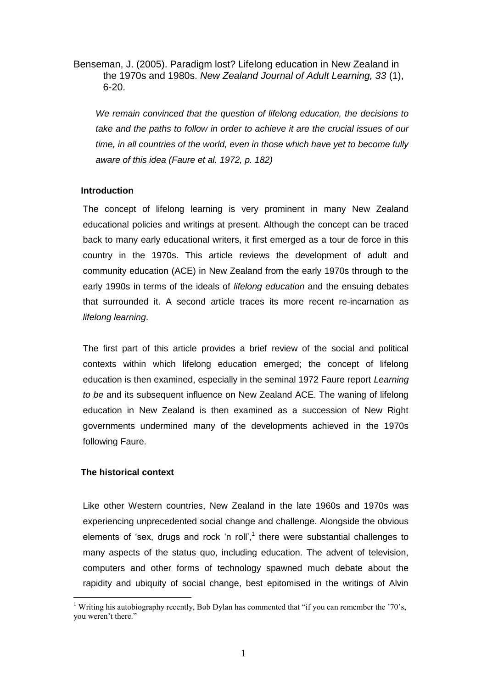Benseman, J. (2005). Paradigm lost? Lifelong education in New Zealand in the 1970s and 1980s. *New Zealand Journal of Adult Learning, 33* (1), 6-20.

*We remain convinced that the question of lifelong education, the decisions to take and the paths to follow in order to achieve it are the crucial issues of our time, in all countries of the world, even in those which have yet to become fully aware of this idea (Faure et al. 1972, p. 182)*

# **Introduction**

The concept of lifelong learning is very prominent in many New Zealand educational policies and writings at present. Although the concept can be traced back to many early educational writers, it first emerged as a tour de force in this country in the 1970s. This article reviews the development of adult and community education (ACE) in New Zealand from the early 1970s through to the early 1990s in terms of the ideals of *lifelong education* and the ensuing debates that surrounded it. A second article traces its more recent re-incarnation as *lifelong learning*.

The first part of this article provides a brief review of the social and political contexts within which lifelong education emerged; the concept of lifelong education is then examined, especially in the seminal 1972 Faure report *Learning to be* and its subsequent influence on New Zealand ACE. The waning of lifelong education in New Zealand is then examined as a succession of New Right governments undermined many of the developments achieved in the 1970s following Faure.

# **The historical context**

1

Like other Western countries, New Zealand in the late 1960s and 1970s was experiencing unprecedented social change and challenge. Alongside the obvious elements of 'sex, drugs and rock 'n roll', $1$  there were substantial challenges to many aspects of the status quo, including education. The advent of television, computers and other forms of technology spawned much debate about the rapidity and ubiquity of social change, best epitomised in the writings of Alvin

<sup>&</sup>lt;sup>1</sup> Writing his autobiography recently, Bob Dylan has commented that "if you can remember the '70's, you weren't there."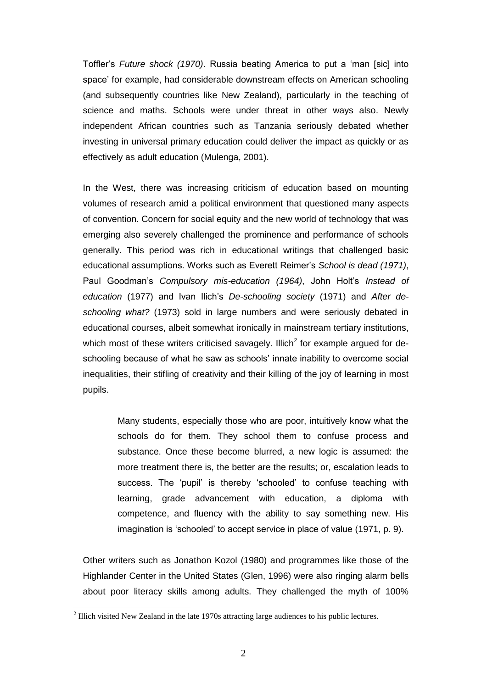Toffler's *Future shock (1970)*. Russia beating America to put a 'man [sic] into space' for example, had considerable downstream effects on American schooling (and subsequently countries like New Zealand), particularly in the teaching of science and maths. Schools were under threat in other ways also. Newly independent African countries such as Tanzania seriously debated whether investing in universal primary education could deliver the impact as quickly or as effectively as adult education (Mulenga, 2001).

In the West, there was increasing criticism of education based on mounting volumes of research amid a political environment that questioned many aspects of convention. Concern for social equity and the new world of technology that was emerging also severely challenged the prominence and performance of schools generally. This period was rich in educational writings that challenged basic educational assumptions. Works such as Everett Reimer's *School is dead (1971)*, Paul Goodman's *Compulsory mis-education (1964)*, John Holt's *Instead of education* (1977) and Ivan Ilich's *De-schooling society* (1971) and *After deschooling what?* (1973) sold in large numbers and were seriously debated in educational courses, albeit somewhat ironically in mainstream tertiary institutions, which most of these writers criticised savagely. Illich<sup>2</sup> for example argued for deschooling because of what he saw as schools' innate inability to overcome social inequalities, their stifling of creativity and their killing of the joy of learning in most pupils.

> Many students, especially those who are poor, intuitively know what the schools do for them. They school them to confuse process and substance. Once these become blurred, a new logic is assumed: the more treatment there is, the better are the results; or, escalation leads to success. The 'pupil' is thereby 'schooled' to confuse teaching with learning, grade advancement with education, a diploma with competence, and fluency with the ability to say something new. His imagination is 'schooled' to accept service in place of value (1971, p. 9).

Other writers such as Jonathon Kozol (1980) and programmes like those of the Highlander Center in the United States (Glen, 1996) were also ringing alarm bells about poor literacy skills among adults. They challenged the myth of 100%

<u>.</u>

 $2$  Illich visited New Zealand in the late 1970s attracting large audiences to his public lectures.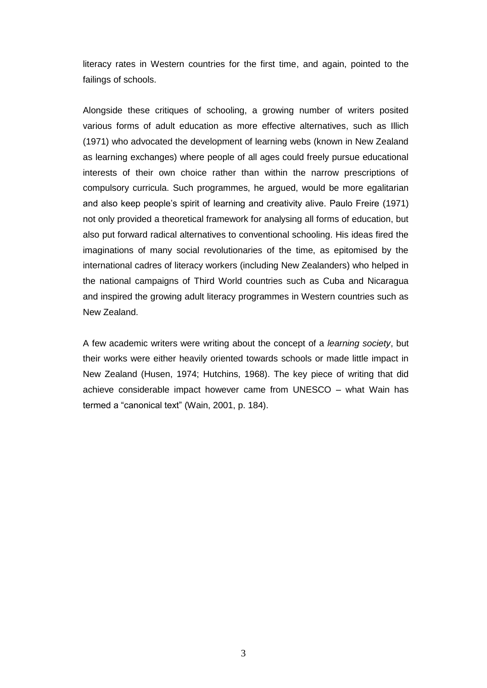literacy rates in Western countries for the first time, and again, pointed to the failings of schools.

Alongside these critiques of schooling, a growing number of writers posited various forms of adult education as more effective alternatives, such as Illich (1971) who advocated the development of learning webs (known in New Zealand as learning exchanges) where people of all ages could freely pursue educational interests of their own choice rather than within the narrow prescriptions of compulsory curricula. Such programmes, he argued, would be more egalitarian and also keep people's spirit of learning and creativity alive. Paulo Freire (1971) not only provided a theoretical framework for analysing all forms of education, but also put forward radical alternatives to conventional schooling. His ideas fired the imaginations of many social revolutionaries of the time, as epitomised by the international cadres of literacy workers (including New Zealanders) who helped in the national campaigns of Third World countries such as Cuba and Nicaragua and inspired the growing adult literacy programmes in Western countries such as New Zealand.

A few academic writers were writing about the concept of a *learning society*, but their works were either heavily oriented towards schools or made little impact in New Zealand (Husen, 1974; Hutchins, 1968). The key piece of writing that did achieve considerable impact however came from UNESCO – what Wain has termed a "canonical text" (Wain, 2001, p. 184).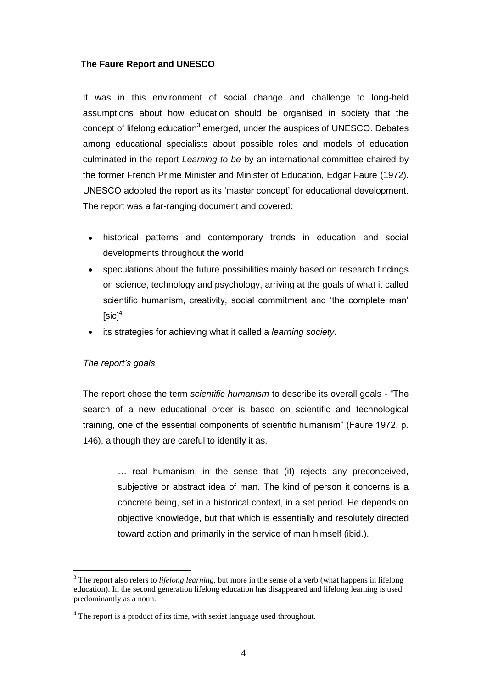# **The Faure Report and UNESCO**

It was in this environment of social change and challenge to long-held assumptions about how education should be organised in society that the concept of lifelong education<sup>3</sup> emerged, under the auspices of UNESCO. Debates among educational specialists about possible roles and models of education culminated in the report *Learning to be* by an international committee chaired by the former French Prime Minister and Minister of Education, Edgar Faure (1972). UNESCO adopted the report as its 'master concept' for educational development. The report was a far-ranging document and covered:

- historical patterns and contemporary trends in education and social developments throughout the world
- speculations about the future possibilities mainly based on research findings  $\bullet$ on science, technology and psychology, arriving at the goals of what it called scientific humanism, creativity, social commitment and 'the complete man'  $[sic]^4$
- its strategies for achieving what it called a *learning society*.

### *The report's goals*

1

The report chose the term *scientific humanism* to describe its overall goals - "The search of a new educational order is based on scientific and technological training, one of the essential components of scientific humanism" (Faure 1972, p. 146), although they are careful to identify it as,

> … real humanism, in the sense that (it) rejects any preconceived, subjective or abstract idea of man. The kind of person it concerns is a concrete being, set in a historical context, in a set period. He depends on objective knowledge, but that which is essentially and resolutely directed toward action and primarily in the service of man himself (ibid.).

<sup>&</sup>lt;sup>3</sup> The report also refers to *lifelong learning*, but more in the sense of a verb (what happens in lifelong education). In the second generation lifelong education has disappeared and lifelong learning is used predominantly as a noun.

<sup>&</sup>lt;sup>4</sup> The report is a product of its time, with sexist language used throughout.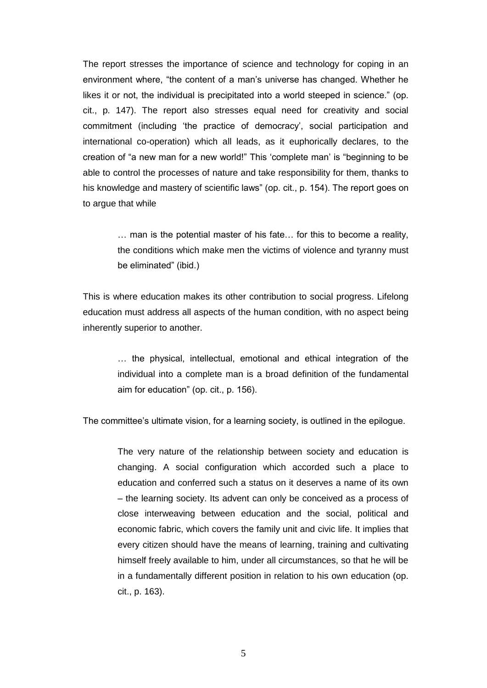The report stresses the importance of science and technology for coping in an environment where, "the content of a man's universe has changed. Whether he likes it or not, the individual is precipitated into a world steeped in science." (op. cit., p. 147). The report also stresses equal need for creativity and social commitment (including 'the practice of democracy', social participation and international co-operation) which all leads, as it euphorically declares, to the creation of "a new man for a new world!" This 'complete man' is "beginning to be able to control the processes of nature and take responsibility for them, thanks to his knowledge and mastery of scientific laws" (op. cit., p. 154). The report goes on to argue that while

> … man is the potential master of his fate… for this to become a reality, the conditions which make men the victims of violence and tyranny must be eliminated" (ibid.)

This is where education makes its other contribution to social progress. Lifelong education must address all aspects of the human condition, with no aspect being inherently superior to another.

> … the physical, intellectual, emotional and ethical integration of the individual into a complete man is a broad definition of the fundamental aim for education" (op. cit., p. 156).

The committee's ultimate vision, for a learning society, is outlined in the epilogue.

The very nature of the relationship between society and education is changing. A social configuration which accorded such a place to education and conferred such a status on it deserves a name of its own – the learning society. Its advent can only be conceived as a process of close interweaving between education and the social, political and economic fabric, which covers the family unit and civic life. It implies that every citizen should have the means of learning, training and cultivating himself freely available to him, under all circumstances, so that he will be in a fundamentally different position in relation to his own education (op. cit., p. 163).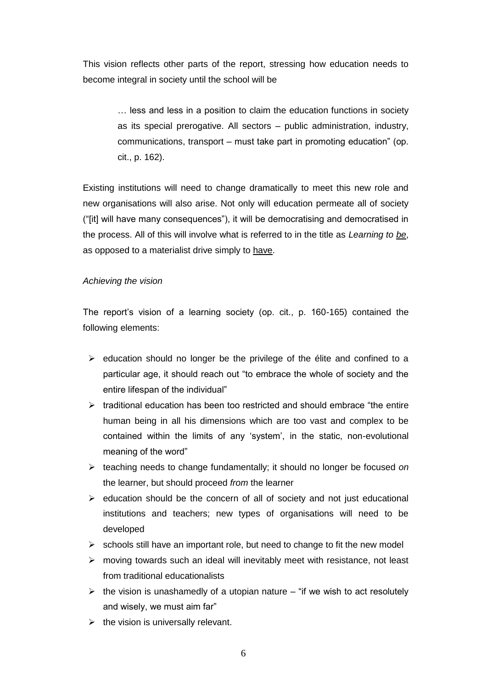This vision reflects other parts of the report, stressing how education needs to become integral in society until the school will be

> … less and less in a position to claim the education functions in society as its special prerogative. All sectors – public administration, industry, communications, transport – must take part in promoting education" (op. cit., p. 162).

Existing institutions will need to change dramatically to meet this new role and new organisations will also arise. Not only will education permeate all of society ("[it] will have many consequences"), it will be democratising and democratised in the process. All of this will involve what is referred to in the title as *Learning to be*, as opposed to a materialist drive simply to have.

# *Achieving the vision*

The report's vision of a learning society (op. cit., p. 160-165) contained the following elements:

- $\triangleright$  education should no longer be the privilege of the élite and confined to a particular age, it should reach out "to embrace the whole of society and the entire lifespan of the individual"
- $\triangleright$  traditional education has been too restricted and should embrace "the entire" human being in all his dimensions which are too vast and complex to be contained within the limits of any 'system', in the static, non-evolutional meaning of the word"
- teaching needs to change fundamentally; it should no longer be focused *on* the learner, but should proceed *from* the learner
- $\triangleright$  education should be the concern of all of society and not just educational institutions and teachers; new types of organisations will need to be developed
- $\triangleright$  schools still have an important role, but need to change to fit the new model
- $\triangleright$  moving towards such an ideal will inevitably meet with resistance, not least from traditional educationalists
- $\triangleright$  the vision is unashamedly of a utopian nature "if we wish to act resolutely and wisely, we must aim far"
- $\triangleright$  the vision is universally relevant.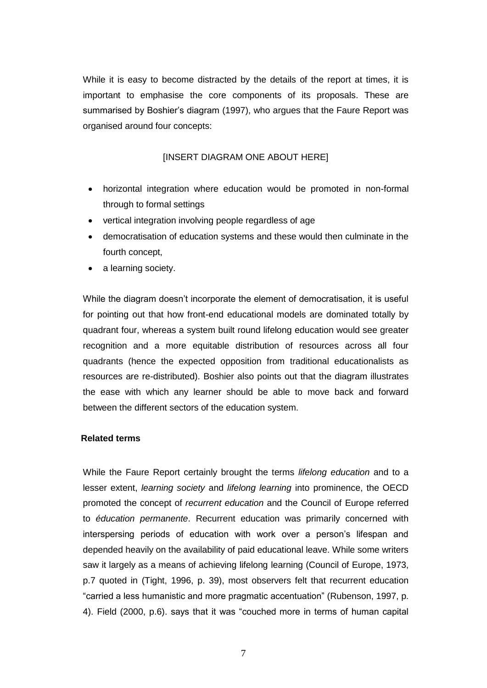While it is easy to become distracted by the details of the report at times, it is important to emphasise the core components of its proposals. These are summarised by Boshier's diagram (1997), who argues that the Faure Report was organised around four concepts:

# [INSERT DIAGRAM ONE ABOUT HERE]

- horizontal integration where education would be promoted in non-formal through to formal settings
- vertical integration involving people regardless of age
- democratisation of education systems and these would then culminate in the fourth concept,
- a learning society.

While the diagram doesn't incorporate the element of democratisation, it is useful for pointing out that how front-end educational models are dominated totally by quadrant four, whereas a system built round lifelong education would see greater recognition and a more equitable distribution of resources across all four quadrants (hence the expected opposition from traditional educationalists as resources are re-distributed). Boshier also points out that the diagram illustrates the ease with which any learner should be able to move back and forward between the different sectors of the education system.

### **Related terms**

While the Faure Report certainly brought the terms *lifelong education* and to a lesser extent, *learning society* and *lifelong learning* into prominence, the OECD promoted the concept of *recurrent education* and the Council of Europe referred to *éducation permanente*. Recurrent education was primarily concerned with interspersing periods of education with work over a person's lifespan and depended heavily on the availability of paid educational leave. While some writers saw it largely as a means of achieving lifelong learning (Council of Europe, 1973, p.7 quoted in (Tight, 1996, p. 39), most observers felt that recurrent education "carried a less humanistic and more pragmatic accentuation" (Rubenson, 1997, p. 4). Field (2000, p.6). says that it was "couched more in terms of human capital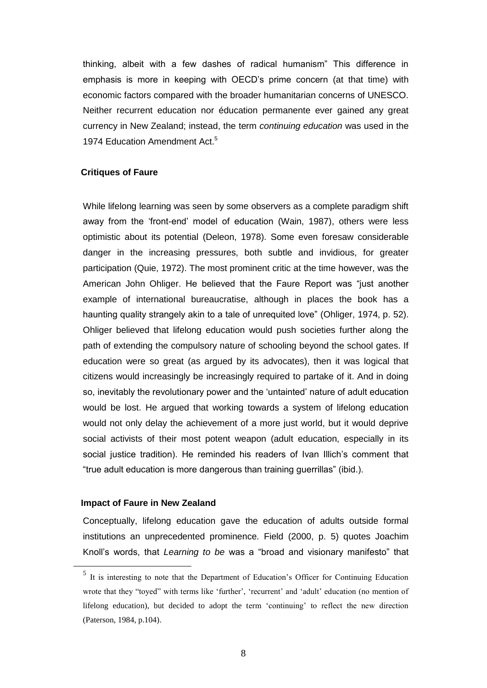thinking, albeit with a few dashes of radical humanism" This difference in emphasis is more in keeping with OECD's prime concern (at that time) with economic factors compared with the broader humanitarian concerns of UNESCO. Neither recurrent education nor éducation permanente ever gained any great currency in New Zealand; instead, the term *continuing education* was used in the 1974 Education Amendment Act.<sup>5</sup>

#### **Critiques of Faure**

While lifelong learning was seen by some observers as a complete paradigm shift away from the 'front-end' model of education (Wain, 1987), others were less optimistic about its potential (Deleon, 1978). Some even foresaw considerable danger in the increasing pressures, both subtle and invidious, for greater participation (Quie, 1972). The most prominent critic at the time however, was the American John Ohliger. He believed that the Faure Report was "just another example of international bureaucratise, although in places the book has a haunting quality strangely akin to a tale of unrequited love" (Ohliger, 1974, p. 52). Ohliger believed that lifelong education would push societies further along the path of extending the compulsory nature of schooling beyond the school gates. If education were so great (as argued by its advocates), then it was logical that citizens would increasingly be increasingly required to partake of it. And in doing so, inevitably the revolutionary power and the 'untainted' nature of adult education would be lost. He argued that working towards a system of lifelong education would not only delay the achievement of a more just world, but it would deprive social activists of their most potent weapon (adult education, especially in its social justice tradition). He reminded his readers of Ivan Illich's comment that "true adult education is more dangerous than training guerrillas" (ibid.).

## **Impact of Faure in New Zealand**

1

Conceptually, lifelong education gave the education of adults outside formal institutions an unprecedented prominence. Field (2000, p. 5) quotes Joachim Knoll's words, that *Learning to be* was a "broad and visionary manifesto" that

<sup>&</sup>lt;sup>5</sup> It is interesting to note that the Department of Education's Officer for Continuing Education wrote that they "toyed" with terms like 'further', 'recurrent' and 'adult' education (no mention of lifelong education), but decided to adopt the term 'continuing' to reflect the new direction (Paterson, 1984, p.104).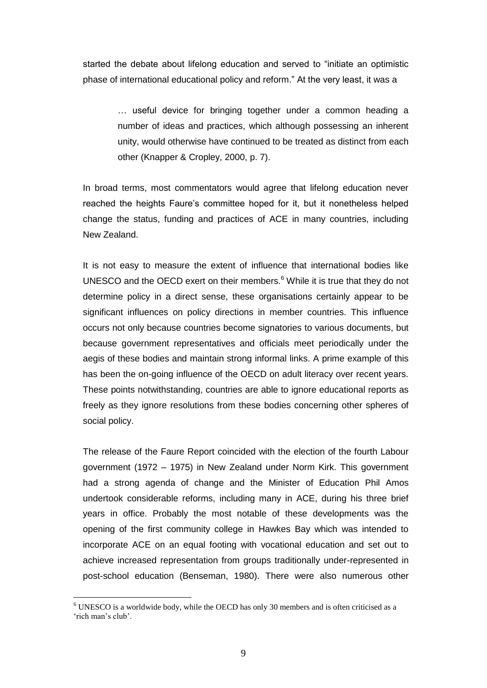started the debate about lifelong education and served to "initiate an optimistic phase of international educational policy and reform." At the very least, it was a

> … useful device for bringing together under a common heading a number of ideas and practices, which although possessing an inherent unity, would otherwise have continued to be treated as distinct from each other (Knapper & Cropley, 2000, p. 7).

In broad terms, most commentators would agree that lifelong education never reached the heights Faure's committee hoped for it, but it nonetheless helped change the status, funding and practices of ACE in many countries, including New Zealand.

It is not easy to measure the extent of influence that international bodies like UNESCO and the OECD exert on their members. $6$  While it is true that they do not determine policy in a direct sense, these organisations certainly appear to be significant influences on policy directions in member countries. This influence occurs not only because countries become signatories to various documents, but because government representatives and officials meet periodically under the aegis of these bodies and maintain strong informal links. A prime example of this has been the on-going influence of the OECD on adult literacy over recent years. These points notwithstanding, countries are able to ignore educational reports as freely as they ignore resolutions from these bodies concerning other spheres of social policy.

The release of the Faure Report coincided with the election of the fourth Labour government (1972 – 1975) in New Zealand under Norm Kirk. This government had a strong agenda of change and the Minister of Education Phil Amos undertook considerable reforms, including many in ACE, during his three brief years in office. Probably the most notable of these developments was the opening of the first community college in Hawkes Bay which was intended to incorporate ACE on an equal footing with vocational education and set out to achieve increased representation from groups traditionally under-represented in post-school education (Benseman, 1980). There were also numerous other

 $6$  UNESCO is a worldwide body, while the OECD has only 30 members and is often criticised as a 'rich man's club'.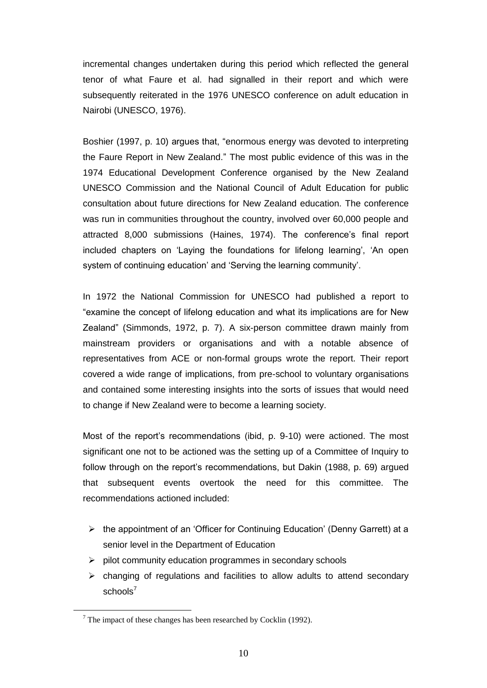incremental changes undertaken during this period which reflected the general tenor of what Faure et al. had signalled in their report and which were subsequently reiterated in the 1976 UNESCO conference on adult education in Nairobi (UNESCO, 1976).

Boshier (1997, p. 10) argues that, "enormous energy was devoted to interpreting the Faure Report in New Zealand." The most public evidence of this was in the 1974 Educational Development Conference organised by the New Zealand UNESCO Commission and the National Council of Adult Education for public consultation about future directions for New Zealand education. The conference was run in communities throughout the country, involved over 60,000 people and attracted 8,000 submissions (Haines, 1974). The conference's final report included chapters on 'Laying the foundations for lifelong learning', 'An open system of continuing education' and 'Serving the learning community'.

In 1972 the National Commission for UNESCO had published a report to "examine the concept of lifelong education and what its implications are for New Zealand" (Simmonds, 1972, p. 7). A six-person committee drawn mainly from mainstream providers or organisations and with a notable absence of representatives from ACE or non-formal groups wrote the report. Their report covered a wide range of implications, from pre-school to voluntary organisations and contained some interesting insights into the sorts of issues that would need to change if New Zealand were to become a learning society.

Most of the report's recommendations (ibid, p. 9-10) were actioned. The most significant one not to be actioned was the setting up of a Committee of Inquiry to follow through on the report's recommendations, but Dakin (1988, p. 69) argued that subsequent events overtook the need for this committee. The recommendations actioned included:

- $\triangleright$  the appointment of an 'Officer for Continuing Education' (Denny Garrett) at a senior level in the Department of Education
- $\triangleright$  pilot community education programmes in secondary schools
- $\triangleright$  changing of regulations and facilities to allow adults to attend secondary schools $<sup>7</sup>$ </sup>

 $<sup>7</sup>$  The impact of these changes has been researched by Cocklin (1992).</sup>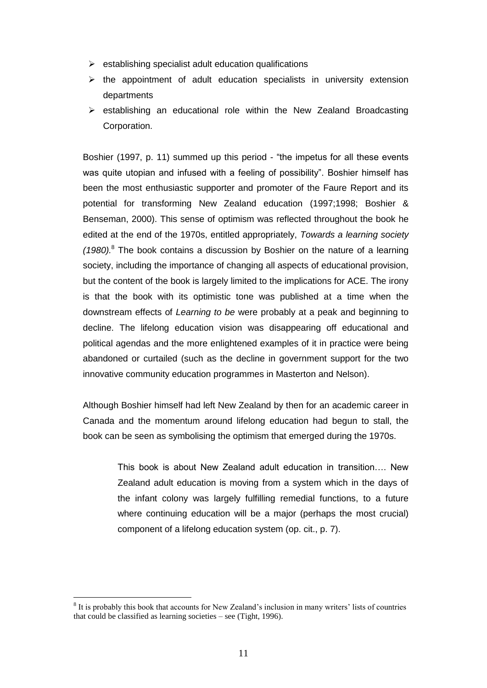- $\triangleright$  establishing specialist adult education qualifications
- $\triangleright$  the appointment of adult education specialists in university extension departments
- $\triangleright$  establishing an educational role within the New Zealand Broadcasting Corporation.

Boshier (1997, p. 11) summed up this period - "the impetus for all these events was quite utopian and infused with a feeling of possibility". Boshier himself has been the most enthusiastic supporter and promoter of the Faure Report and its potential for transforming New Zealand education (1997;1998; Boshier & Benseman, 2000). This sense of optimism was reflected throughout the book he edited at the end of the 1970s, entitled appropriately, *Towards a learning society (1980).* <sup>8</sup> The book contains a discussion by Boshier on the nature of a learning society, including the importance of changing all aspects of educational provision, but the content of the book is largely limited to the implications for ACE. The irony is that the book with its optimistic tone was published at a time when the downstream effects of *Learning to be* were probably at a peak and beginning to decline. The lifelong education vision was disappearing off educational and political agendas and the more enlightened examples of it in practice were being abandoned or curtailed (such as the decline in government support for the two innovative community education programmes in Masterton and Nelson).

Although Boshier himself had left New Zealand by then for an academic career in Canada and the momentum around lifelong education had begun to stall, the book can be seen as symbolising the optimism that emerged during the 1970s.

> This book is about New Zealand adult education in transition…. New Zealand adult education is moving from a system which in the days of the infant colony was largely fulfilling remedial functions, to a future where continuing education will be a major (perhaps the most crucial) component of a lifelong education system (op. cit., p. 7).

<sup>&</sup>lt;sup>8</sup> It is probably this book that accounts for New Zealand's inclusion in many writers' lists of countries that could be classified as learning societies – see (Tight, 1996).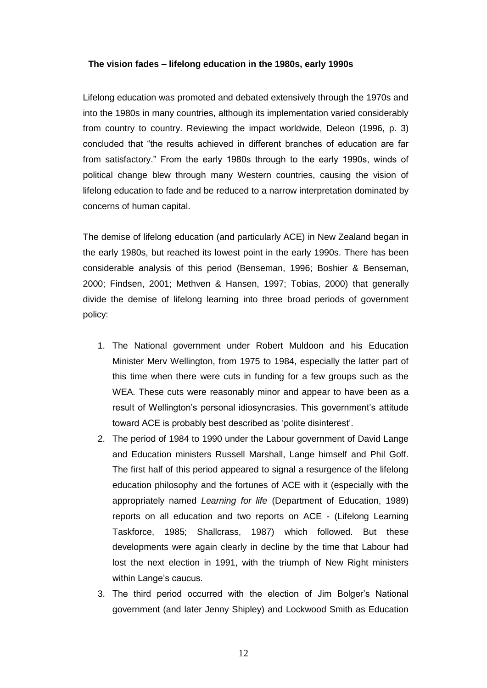#### **The vision fades – lifelong education in the 1980s, early 1990s**

Lifelong education was promoted and debated extensively through the 1970s and into the 1980s in many countries, although its implementation varied considerably from country to country. Reviewing the impact worldwide, Deleon (1996, p. 3) concluded that "the results achieved in different branches of education are far from satisfactory." From the early 1980s through to the early 1990s, winds of political change blew through many Western countries, causing the vision of lifelong education to fade and be reduced to a narrow interpretation dominated by concerns of human capital.

The demise of lifelong education (and particularly ACE) in New Zealand began in the early 1980s, but reached its lowest point in the early 1990s. There has been considerable analysis of this period (Benseman, 1996; Boshier & Benseman, 2000; Findsen, 2001; Methven & Hansen, 1997; Tobias, 2000) that generally divide the demise of lifelong learning into three broad periods of government policy:

- 1. The National government under Robert Muldoon and his Education Minister Merv Wellington, from 1975 to 1984, especially the latter part of this time when there were cuts in funding for a few groups such as the WEA. These cuts were reasonably minor and appear to have been as a result of Wellington's personal idiosyncrasies. This government's attitude toward ACE is probably best described as 'polite disinterest'.
- 2. The period of 1984 to 1990 under the Labour government of David Lange and Education ministers Russell Marshall, Lange himself and Phil Goff. The first half of this period appeared to signal a resurgence of the lifelong education philosophy and the fortunes of ACE with it (especially with the appropriately named *Learning for life* (Department of Education, 1989) reports on all education and two reports on ACE - (Lifelong Learning Taskforce, 1985; Shallcrass, 1987) which followed. But these developments were again clearly in decline by the time that Labour had lost the next election in 1991, with the triumph of New Right ministers within Lange's caucus.
- 3. The third period occurred with the election of Jim Bolger's National government (and later Jenny Shipley) and Lockwood Smith as Education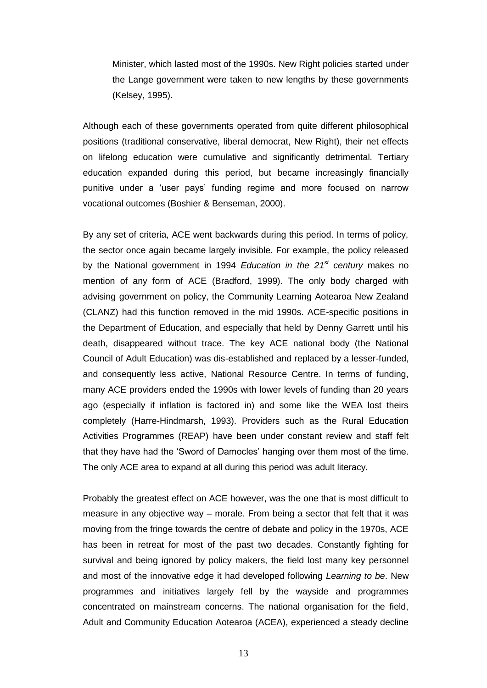Minister, which lasted most of the 1990s. New Right policies started under the Lange government were taken to new lengths by these governments (Kelsey, 1995).

Although each of these governments operated from quite different philosophical positions (traditional conservative, liberal democrat, New Right), their net effects on lifelong education were cumulative and significantly detrimental. Tertiary education expanded during this period, but became increasingly financially punitive under a 'user pays' funding regime and more focused on narrow vocational outcomes (Boshier & Benseman, 2000).

By any set of criteria, ACE went backwards during this period. In terms of policy, the sector once again became largely invisible. For example, the policy released by the National government in 1994 *Education in the 21st century* makes no mention of any form of ACE (Bradford, 1999). The only body charged with advising government on policy, the Community Learning Aotearoa New Zealand (CLANZ) had this function removed in the mid 1990s. ACE-specific positions in the Department of Education, and especially that held by Denny Garrett until his death, disappeared without trace. The key ACE national body (the National Council of Adult Education) was dis-established and replaced by a lesser-funded, and consequently less active, National Resource Centre. In terms of funding, many ACE providers ended the 1990s with lower levels of funding than 20 years ago (especially if inflation is factored in) and some like the WEA lost theirs completely (Harre-Hindmarsh, 1993). Providers such as the Rural Education Activities Programmes (REAP) have been under constant review and staff felt that they have had the 'Sword of Damocles' hanging over them most of the time. The only ACE area to expand at all during this period was adult literacy.

Probably the greatest effect on ACE however, was the one that is most difficult to measure in any objective way – morale. From being a sector that felt that it was moving from the fringe towards the centre of debate and policy in the 1970s, ACE has been in retreat for most of the past two decades. Constantly fighting for survival and being ignored by policy makers, the field lost many key personnel and most of the innovative edge it had developed following *Learning to be*. New programmes and initiatives largely fell by the wayside and programmes concentrated on mainstream concerns. The national organisation for the field, Adult and Community Education Aotearoa (ACEA), experienced a steady decline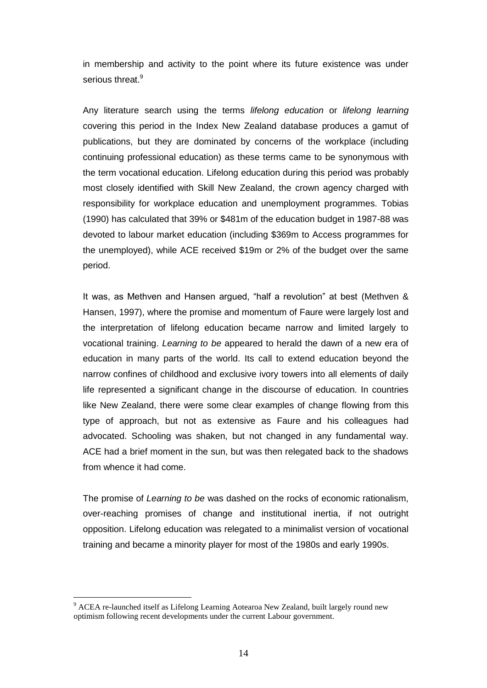in membership and activity to the point where its future existence was under serious threat.<sup>9</sup>

Any literature search using the terms *lifelong education* or *lifelong learning* covering this period in the Index New Zealand database produces a gamut of publications, but they are dominated by concerns of the workplace (including continuing professional education) as these terms came to be synonymous with the term vocational education. Lifelong education during this period was probably most closely identified with Skill New Zealand, the crown agency charged with responsibility for workplace education and unemployment programmes. Tobias (1990) has calculated that 39% or \$481m of the education budget in 1987-88 was devoted to labour market education (including \$369m to Access programmes for the unemployed), while ACE received \$19m or 2% of the budget over the same period.

It was, as Methven and Hansen argued, "half a revolution" at best (Methven & Hansen, 1997), where the promise and momentum of Faure were largely lost and the interpretation of lifelong education became narrow and limited largely to vocational training. *Learning to be* appeared to herald the dawn of a new era of education in many parts of the world. Its call to extend education beyond the narrow confines of childhood and exclusive ivory towers into all elements of daily life represented a significant change in the discourse of education. In countries like New Zealand, there were some clear examples of change flowing from this type of approach, but not as extensive as Faure and his colleagues had advocated. Schooling was shaken, but not changed in any fundamental way. ACE had a brief moment in the sun, but was then relegated back to the shadows from whence it had come.

The promise of *Learning to be* was dashed on the rocks of economic rationalism, over-reaching promises of change and institutional inertia, if not outright opposition. Lifelong education was relegated to a minimalist version of vocational training and became a minority player for most of the 1980s and early 1990s.

<sup>&</sup>lt;sup>9</sup> ACEA re-launched itself as Lifelong Learning Aotearoa New Zealand, built largely round new optimism following recent developments under the current Labour government.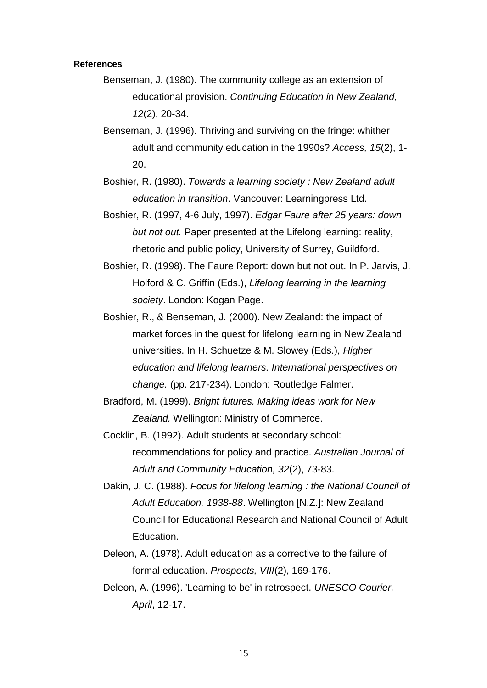#### **References**

- Benseman, J. (1980). The community college as an extension of educational provision. *Continuing Education in New Zealand, 12*(2), 20-34.
- Benseman, J. (1996). Thriving and surviving on the fringe: whither adult and community education in the 1990s? *Access, 15*(2), 1- 20.
- Boshier, R. (1980). *Towards a learning society : New Zealand adult education in transition*. Vancouver: Learningpress Ltd.
- Boshier, R. (1997, 4-6 July, 1997). *Edgar Faure after 25 years: down but not out.* Paper presented at the Lifelong learning: reality, rhetoric and public policy, University of Surrey, Guildford.
- Boshier, R. (1998). The Faure Report: down but not out. In P. Jarvis, J. Holford & C. Griffin (Eds.), *Lifelong learning in the learning society*. London: Kogan Page.
- Boshier, R., & Benseman, J. (2000). New Zealand: the impact of market forces in the quest for lifelong learning in New Zealand universities. In H. Schuetze & M. Slowey (Eds.), *Higher education and lifelong learners. International perspectives on change.* (pp. 217-234). London: Routledge Falmer.
- Bradford, M. (1999). *Bright futures. Making ideas work for New Zealand.* Wellington: Ministry of Commerce.
- Cocklin, B. (1992). Adult students at secondary school: recommendations for policy and practice. *Australian Journal of Adult and Community Education, 32*(2), 73-83.
- Dakin, J. C. (1988). *Focus for lifelong learning : the National Council of Adult Education, 1938-88*. Wellington [N.Z.]: New Zealand Council for Educational Research and National Council of Adult Education.
- Deleon, A. (1978). Adult education as a corrective to the failure of formal education. *Prospects, VIII*(2), 169-176.
- Deleon, A. (1996). 'Learning to be' in retrospect. *UNESCO Courier, April*, 12-17.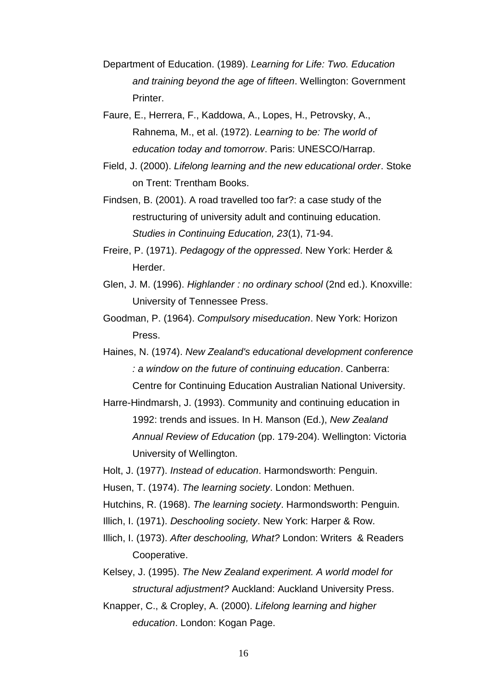- Department of Education. (1989). *Learning for Life: Two. Education and training beyond the age of fifteen*. Wellington: Government Printer.
- Faure, E., Herrera, F., Kaddowa, A., Lopes, H., Petrovsky, A., Rahnema, M., et al. (1972). *Learning to be: The world of education today and tomorrow*. Paris: UNESCO/Harrap.
- Field, J. (2000). *Lifelong learning and the new educational order*. Stoke on Trent: Trentham Books.
- Findsen, B. (2001). A road travelled too far?: a case study of the restructuring of university adult and continuing education. *Studies in Continuing Education, 23*(1), 71-94.
- Freire, P. (1971). *Pedagogy of the oppressed*. New York: Herder & Herder.
- Glen, J. M. (1996). *Highlander : no ordinary school* (2nd ed.). Knoxville: University of Tennessee Press.
- Goodman, P. (1964). *Compulsory miseducation*. New York: Horizon Press.
- Haines, N. (1974). *New Zealand's educational development conference : a window on the future of continuing education*. Canberra: Centre for Continuing Education Australian National University.
- Harre-Hindmarsh, J. (1993). Community and continuing education in 1992: trends and issues. In H. Manson (Ed.), *New Zealand Annual Review of Education* (pp. 179-204). Wellington: Victoria University of Wellington.
- Holt, J. (1977). *Instead of education*. Harmondsworth: Penguin.
- Husen, T. (1974). *The learning society*. London: Methuen.
- Hutchins, R. (1968). *The learning society*. Harmondsworth: Penguin.
- Illich, I. (1971). *Deschooling society*. New York: Harper & Row.
- Illich, I. (1973). *After deschooling, What?* London: Writers & Readers Cooperative.
- Kelsey, J. (1995). *The New Zealand experiment. A world model for structural adjustment?* Auckland: Auckland University Press.
- Knapper, C., & Cropley, A. (2000). *Lifelong learning and higher education*. London: Kogan Page.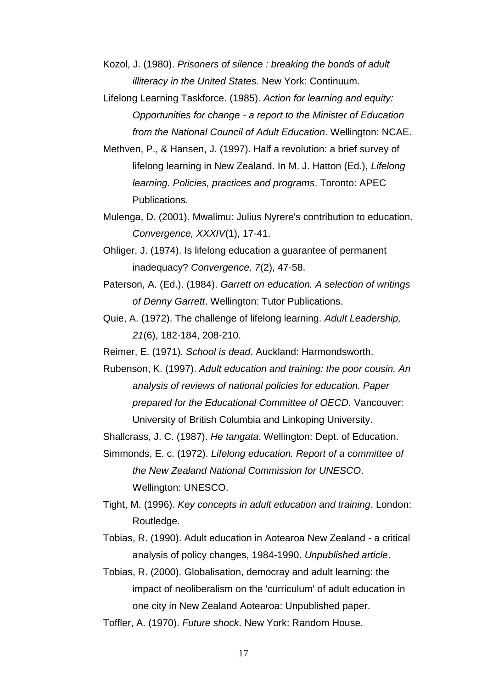Kozol, J. (1980). *Prisoners of silence : breaking the bonds of adult illiteracy in the United States*. New York: Continuum.

Lifelong Learning Taskforce. (1985). *Action for learning and equity: Opportunities for change - a report to the Minister of Education from the National Council of Adult Education*. Wellington: NCAE.

Methven, P., & Hansen, J. (1997). Half a revolution: a brief survey of lifelong learning in New Zealand. In M. J. Hatton (Ed.), *Lifelong learning. Policies, practices and programs*. Toronto: APEC Publications.

Mulenga, D. (2001). Mwalimu: Julius Nyrere's contribution to education. *Convergence, XXXIV*(1), 17-41.

Ohliger, J. (1974). Is lifelong education a guarantee of permanent inadequacy? *Convergence, 7*(2), 47-58.

Paterson, A. (Ed.). (1984). *Garrett on education. A selection of writings of Denny Garrett*. Wellington: Tutor Publications.

Quie, A. (1972). The challenge of lifelong learning. *Adult Leadership, 21*(6), 182-184, 208-210.

Reimer, E. (1971). *School is dead*. Auckland: Harmondsworth.

Rubenson, K. (1997). *Adult education and training: the poor cousin. An analysis of reviews of national policies for education. Paper prepared for the Educational Committee of OECD.* Vancouver: University of British Columbia and Linkoping University.

Shallcrass, J. C. (1987). *He tangata*. Wellington: Dept. of Education.

Simmonds, E. c. (1972). *Lifelong education. Report of a committee of the New Zealand National Commission for UNESCO*. Wellington: UNESCO.

Tight, M. (1996). *Key concepts in adult education and training*. London: Routledge.

Tobias, R. (1990). Adult education in Aotearoa New Zealand - a critical analysis of policy changes, 1984-1990. *Unpublished article*.

Tobias, R. (2000). Globalisation, democray and adult learning: the impact of neoliberalism on the 'curriculum' of adult education in one city in New Zealand Aotearoa: Unpublished paper.

Toffler, A. (1970). *Future shock*. New York: Random House.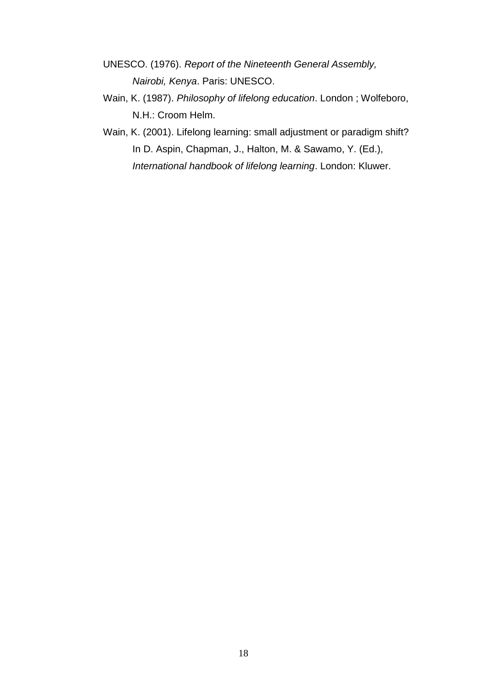- UNESCO. (1976). *Report of the Nineteenth General Assembly, Nairobi, Kenya*. Paris: UNESCO.
- Wain, K. (1987). *Philosophy of lifelong education*. London ; Wolfeboro, N.H.: Croom Helm.
- Wain, K. (2001). Lifelong learning: small adjustment or paradigm shift? In D. Aspin, Chapman, J., Halton, M. & Sawamo, Y. (Ed.), *International handbook of lifelong learning*. London: Kluwer.